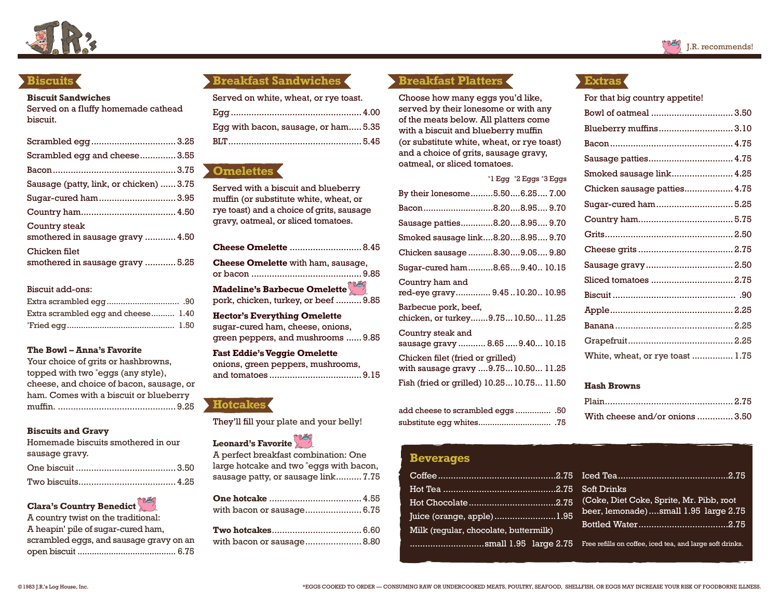

## **Biscuits**

#### **Biscuit Sandwiches**

Served on a fluffy homemade cathead biscuit.

| Scrambled egg and cheese3.55                                                                           |  |
|--------------------------------------------------------------------------------------------------------|--|
|                                                                                                        |  |
| Sausage (patty, link, or chicken)  3.75                                                                |  |
| Sugar-cured ham 3.95                                                                                   |  |
|                                                                                                        |  |
| Country steak<br>smothered in sausage gravy  4.50<br>Chicken filet<br>smothered in sausage gravy  5.25 |  |
|                                                                                                        |  |

#### Biscuit add-ons:

| Extra scrambled egg and cheese 1.40 |  |
|-------------------------------------|--|
|                                     |  |

#### **The Bowl – Anna's Favorite**

| Your choice of grits or hashbrowns,      |
|------------------------------------------|
| topped with two "eggs (any style),       |
| cheese, and choice of bacon, sausage, or |
| ham. Comes with a biscuit or blueberry   |
|                                          |

#### **Biscuits and Gravy**

| Homemade biscuits smothered in our |  |
|------------------------------------|--|
| sausage gravy.                     |  |
|                                    |  |
|                                    |  |

# **Clara's Country Benedict**

## **Breakfast Sandwiches**

| Served on white, wheat, or rye toast. |  |
|---------------------------------------|--|
|                                       |  |
| Egg with bacon, sausage, or ham 5.35  |  |
|                                       |  |

# **Omelettes**

Served with a biscuit and blueberry muffin (or substitute white, wheat, or rye toast) and a choice of grits, sausage gravy, oatmeal, or sliced tomatoes.

| <b>Cheese Omelette  8.45</b>              |  |
|-------------------------------------------|--|
| <b>Cheese Omelette</b> with ham, sausage, |  |
| Madeline's Barbecue Omelette              |  |
| pork, chicken, turkey, or beef  9.85      |  |
| <b>Hector's Everything Omelette</b>       |  |

sugar-cured ham, cheese, onions, green peppers, and mushrooms ...... 9.85

**Fast Eddie's Veggie Omelette** onions, green peppers, mushrooms,

and tomatoes .................................... 9.15



They'll fill your plate and your belly!

# Leonard's Favorite

| A perfect breakfast combination: One    |
|-----------------------------------------|
| large hotcake and two *eggs with bacon, |
| sausage patty, or sausage link 7.75     |

| with bacon or sausage 6.75 |  |
|----------------------------|--|
|                            |  |
|                            |  |

## **Breakfast Platters**

Choose how many eggs you'd like, served by their lonesome or with any of the meats below. All platters come with a biscuit and blueberry muffin (or substitute white, wheat, or rye toast) and a choice of grits, sausage gravy, oatmeal, or sliced tomatoes.

|                                                                       | $*1$ Egg $*2$ Eggs $*3$ Eggs |
|-----------------------------------------------------------------------|------------------------------|
| By their lonesome5.506.25 7.00                                        |                              |
| Bacon8.208.95 9.70                                                    |                              |
| Sausage patties8.208.95 9.70                                          |                              |
| Smoked sausage link8.208.95 9.70                                      |                              |
| Chicken sausage 8.309.05 9.80                                         |                              |
| Sugar-cured ham8.659.40 10.15                                         |                              |
| Country ham and<br>red-eye gravy 9.4510.2010.95                       |                              |
| Barbecue pork, beef,<br>chicken, or turkey9.7510.5011.25              |                              |
| Country steak and<br>sausage gravy  8.65  9.40 10.15                  |                              |
| Chicken filet (fried or grilled)<br>with sausage gravy 9.7510.5011.25 |                              |
| Fish (fried or grilled) 10.25 10.75 11.50                             |                              |

| .50.  add cheese to scrambled eqgs |  |
|------------------------------------|--|
|                                    |  |

### **Beverages**

|                                       | Coffee………………………………………2.75 Tced Tea……………………………………2.75                                                                                    |
|---------------------------------------|-----------------------------------------------------------------------------------------------------------------------------------------|
|                                       |                                                                                                                                         |
|                                       |                                                                                                                                         |
| Juice (orange, apple) <u>1.95</u>     | beer, lemonade)small 1.95 large 2.75                                                                                                    |
| Milk (regular, chocolate, buttermilk) |                                                                                                                                         |
|                                       | $\ldots\ldots\ldots\ldots\ldots\ldots$ SMall $\,1.95$ $\,$ large $\,2.75$ $\,$ Free refills on coffee, iced tea, and large soft drinks. |

## **Extras**

For that big country appetite!

| Bowl of oatmeal  3.50            |  |
|----------------------------------|--|
| Blueberry muffins 3.10           |  |
|                                  |  |
| Sausage patties 4.75             |  |
| Smoked sausage link 4.25         |  |
| Chicken sausage patties 4.75     |  |
| Sugar-cured ham 5.25             |  |
|                                  |  |
|                                  |  |
|                                  |  |
| Sausage gravy 2.50               |  |
| Sliced tomatoes  2.75            |  |
|                                  |  |
|                                  |  |
|                                  |  |
|                                  |  |
| White, wheat, or rye toast  1.75 |  |

#### **Hash Browns**

| With cheese and/or onions 3.50 |  |
|--------------------------------|--|